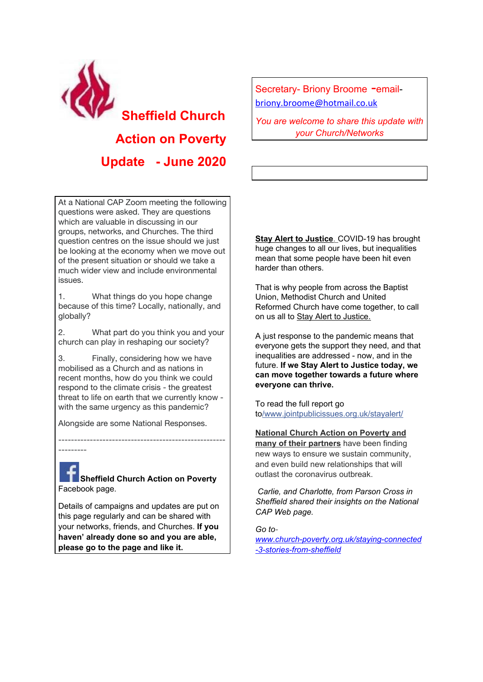

At a National CAP Zoom meeting the following questions were asked. They are questions which are valuable in discussing in our groups, networks, and Churches. The third question centres on the issue should we just be looking at the economy when we move out of the present situation or should we take a much wider view and include environmental issues.

1. What things do you hope change because of this time? Locally, nationally, and globally?

2. What part do you think you and your church can play in reshaping our society?

3. Finally, considering how we have mobilised as a Church and as nations in recent months, how do you think we could respond to the climate crisis - the greatest threat to life on earth that we currently know with the same urgency as this pandemic?

Alongside are some National Responses.

---------

**Sheffield Church Action on Poverty** Facebook page.

-----------------------------------------------------

Details of campaigns and updates are put on this page regularly and can be shared with your networks, friends, and Churches. **If you haven' already done so and you are able, please go to the page and like it.**

Secretary- Briony Broome -emailbriony.broome@hotmail.co.uk

*You are welcome to share this update with your Church/Networks*

**Stay Alert to Justice**. COVID-19 has brought huge changes to all our lives, but inequalities mean that some people have been hit even harder than others.

That is why people from across the Baptist Union, Methodist Church and United Reformed Church have come together, to call on us all to Stay Alert to Justice.

A just response to the pandemic means that everyone gets the support they need, and that inequalities are addressed - now, and in the future. **If we Stay Alert to Justice today, we can move together towards a future where everyone can thrive.**

To read the full report go to/www.jointpublicissues.org.uk/stayalert/

**National Church Action on Poverty and many of their partners** have been finding new ways to ensure we sustain community, and even build new relationships that will outlast the coronavirus outbreak.

*Carlie, and Charlotte, from Parson Cross in Sheffield shared their insights on the National CAP Web page.*

*Go towww.church-poverty.org.uk/staying-connected -3-stories-from-sheffield*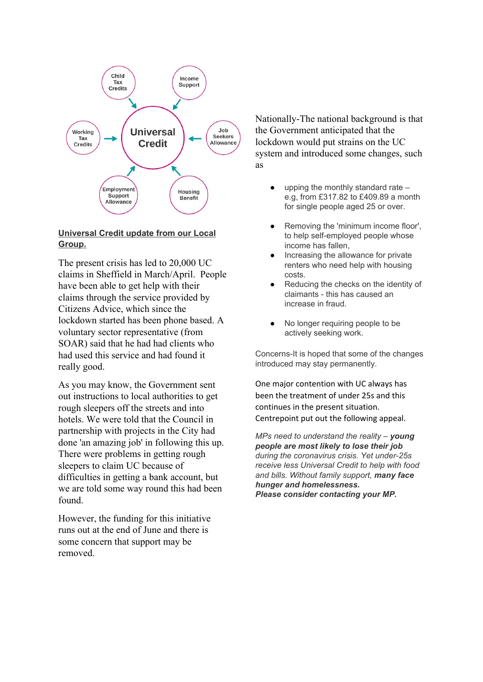

## **Universal Credit update from our Local Group.**

The present crisis has led to 20,000 UC claims in Sheffield in March/April. People have been able to get help with their claims through the service provided by Citizens Advice, which since the lockdown started has been phone based. A voluntary sector representative (from SOAR) said that he had had clients who had used this service and had found it really good.

As you may know, the Government sent out instructions to local authorities to get rough sleepers off the streets and into hotels. We were told that the Council in partnership with projects in the City had done 'an amazing job' in following this up. There were problems in getting rough sleepers to claim UC because of difficulties in getting a bank account, but we are told some way round this had been found.

However, the funding for this initiative runs out at the end of June and there is some concern that support may be removed.

Nationally-The national background is that the Government anticipated that the lockdown would put strains on the UC system and introduced some changes, such as

- upping the monthly standard rate  $$ e.g, from £317.82 to £409.89 a month for single people aged 25 or over.
- Removing the 'minimum income floor', to help self-employed people whose income has fallen,
- Increasing the allowance for private renters who need help with housing costs.
- Reducing the checks on the identity of claimants - this has caused an increase in fraud.
- No longer requiring people to be actively seeking work.

Concerns-It is hoped that some of the changes introduced may stay permanently.

One major contention with UC always has been the treatment of under 25s and this continues in the present situation. Centrepoint put out the following appeal.

*MPs need to understand the reality – young people are most likely to lose their job during the coronavirus crisis. Yet under-25s receive less Universal Credit to help with food and bills. Without family support, many face hunger and homelessness. Please consider contacting your MP.*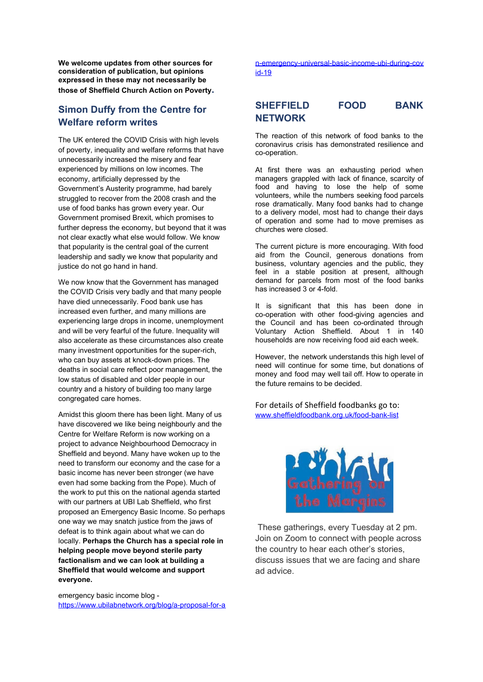**We welcome updates from other sources for consideration of publication, but opinions expressed in these may not necessarily be those of Sheffield Church Action on Poverty.**

# **Simon Duffy from the Centre for Welfare reform writes**

The UK entered the COVID Crisis with high levels of poverty, inequality and welfare reforms that have unnecessarily increased the misery and fear experienced by millions on low incomes. The economy, artificially depressed by the Government's Austerity programme, had barely struggled to recover from the 2008 crash and the use of food banks has grown every year. Our Government promised Brexit, which promises to further depress the economy, but beyond that it was not clear exactly what else would follow. We know that popularity is the central goal of the current leadership and sadly we know that popularity and justice do not go hand in hand.

We now know that the Government has managed the COVID Crisis very badly and that many people have died unnecessarily. Food bank use has increased even further, and many millions are experiencing large drops in income, unemployment and will be very fearful of the future. Inequality will also accelerate as these circumstances also create many investment opportunities for the super-rich, who can buy assets at knock-down prices. The deaths in social care reflect poor management, the low status of disabled and older people in our country and a history of building too many large congregated care homes.

Amidst this gloom there has been light. Many of us have discovered we like being neighbourly and the Centre for Welfare Reform is now working on a project to advance Neighbourhood Democracy in Sheffield and beyond. Many have woken up to the need to transform our economy and the case for a basic income has never been stronger (we have even had some backing from the Pope). Much of the work to put this on the national agenda started with our partners at UBI Lab Sheffield, who first proposed an Emergency Basic Income. So perhaps one way we may snatch justice from the jaws of defeat is to think again about what we can do locally. **Perhaps the Church has a special role in helping people move beyond sterile party factionalism and we can look at building a Sheffield that would welcome and support everyone.**

emergency basic income blog https://www.ubilabnetwork.org/blog/a-proposal-for-a

n-emergency-universal-basic-income-ubi-during-cov id-19

# **SHEFFIELD FOOD BANK NETWORK**

The reaction of this network of food banks to the coronavirus crisis has demonstrated resilience and co-operation.

At first there was an exhausting period when managers grappled with lack of finance, scarcity of food and having to lose the help of some volunteers, while the numbers seeking food parcels rose dramatically. Many food banks had to change to a delivery model, most had to change their days of operation and some had to move premises as churches were closed.

The current picture is more encouraging. With food aid from the Council, generous donations from business, voluntary agencies and the public, they feel in a stable position at present, although demand for parcels from most of the food banks has increased 3 or 4-fold.

It is significant that this has been done in co-operation with other food-giving agencies and the Council and has been co-ordinated through Voluntary Action Sheffield. About 1 in 140 households are now receiving food aid each week.

However, the network understands this high level of need will continue for some time, but donations of money and food may well tail off. How to operate in the future remains to be decided.

For details of Sheffield foodbanks go to: www.sheffieldfoodbank.org.uk/food-bank-list



 These gatherings, every Tuesday at 2 pm. Join on Zoom to connect with people across the country to hear each other's stories, discuss issues that we are facing and share ad advice.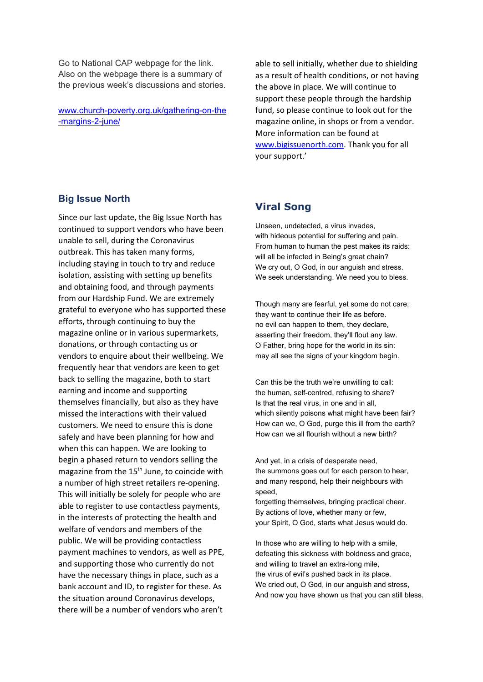Go to National CAP webpage for the link. Also on the webpage there is a summary of the previous week's discussions and stories.

www.church-poverty.org.uk/gathering-on-the -margins-2-june/

able to sell initially, whether due to shielding as a result of health conditions, or not having the above in place. We will continue to support these people through the hardship fund, so please continue to look out for the magazine online, in shops or from a vendor. More information can be found at www.bigissuenorth.com. Thank you for all your support.'

## **Big Issue North**

Since our last update, the Big Issue North has continued to support vendors who have been unable to sell, during the Coronavirus outbreak. This has taken many forms, including staying in touch to try and reduce isolation, assisting with setting up benefits and obtaining food, and through payments from our Hardship Fund. We are extremely grateful to everyone who has supported these efforts, through continuing to buy the magazine online or in various supermarkets, donations, or through contacting us or vendors to enquire about their wellbeing. We frequently hear that vendors are keen to get back to selling the magazine, both to start earning and income and supporting themselves financially, but also as they have missed the interactions with their valued customers. We need to ensure this is done safely and have been planning for how and when this can happen. We are looking to begin a phased return to vendors selling the magazine from the 15<sup>th</sup> June, to coincide with a number of high street retailers re-opening. This will initially be solely for people who are able to register to use contactless payments, in the interests of protecting the health and welfare of vendors and members of the public. We will be providing contactless payment machines to vendors, as well as PPE, and supporting those who currently do not have the necessary things in place, such as a bank account and ID, to register for these. As the situation around Coronavirus develops, there will be a number of vendors who aren't

## **Viral Song**

Unseen, undetected, a virus invades, with hideous potential for suffering and pain. From human to human the pest makes its raids: will all be infected in Being's great chain? We cry out, O God, in our anguish and stress. We seek understanding. We need you to bless.

Though many are fearful, yet some do not care: they want to continue their life as before. no evil can happen to them, they declare, asserting their freedom, they'll flout any law. O Father, bring hope for the world in its sin: may all see the signs of your kingdom begin.

Can this be the truth we're unwilling to call: the human, self-centred, refusing to share? Is that the real virus, in one and in all, which silently poisons what might have been fair? How can we, O God, purge this ill from the earth? How can we all flourish without a new birth?

And yet, in a crisis of desperate need, the summons goes out for each person to hear, and many respond, help their neighbours with speed,

forgetting themselves, bringing practical cheer. By actions of love, whether many or few, your Spirit, O God, starts what Jesus would do.

In those who are willing to help with a smile, defeating this sickness with boldness and grace, and willing to travel an extra-long mile, the virus of evil's pushed back in its place. We cried out, O God, in our anguish and stress, And now you have shown us that you can still bless.